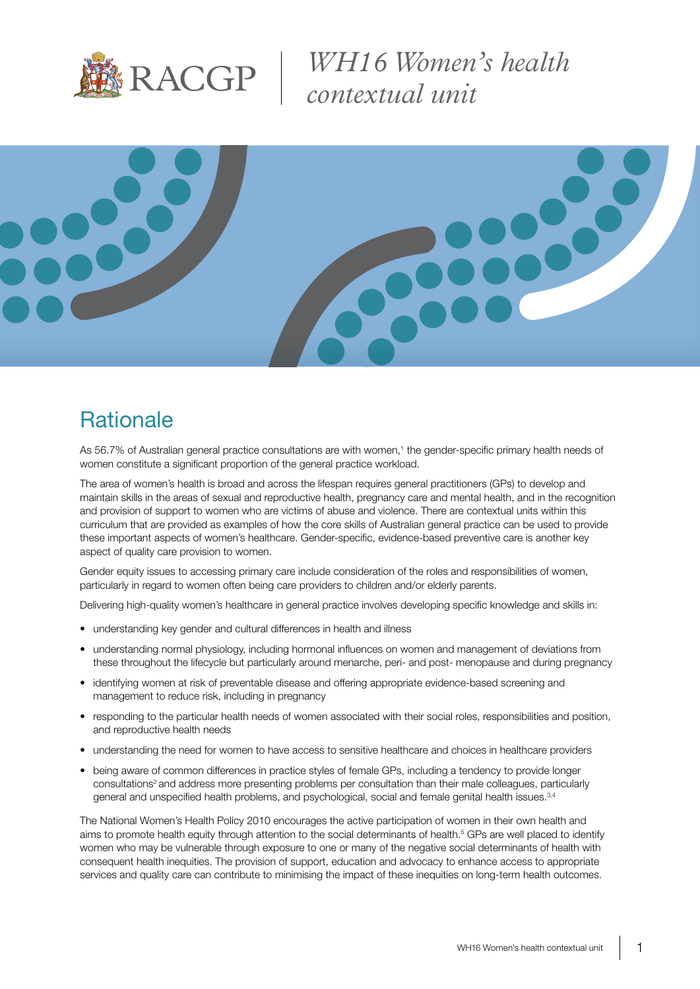

*WH16 Women's health contextual unit*



## **Rationale**

As 56.7% of Australian general practice consultations are with women,<sup>1</sup> the gender-specific primary health needs of women constitute a significant proportion of the general practice workload.

The area of women's health is broad and across the lifespan requires general practitioners (GPs) to develop and maintain skills in the areas of sexual and reproductive health, pregnancy care and mental health, and in the recognition and provision of support to women who are victims of abuse and violence. There are contextual units within this curriculum that are provided as examples of how the core skills of Australian general practice can be used to provide these important aspects of women's healthcare. Gender-specific, evidence-based preventive care is another key aspect of quality care provision to women.

Gender equity issues to accessing primary care include consideration of the roles and responsibilities of women, particularly in regard to women often being care providers to children and/or elderly parents.

Delivering high-quality women's healthcare in general practice involves developing specific knowledge and skills in:

- understanding key gender and cultural differences in health and illness
- understanding normal physiology, including hormonal influences on women and management of deviations from these throughout the lifecycle but particularly around menarche, peri- and post- menopause and during pregnancy
- identifying women at risk of preventable disease and offering appropriate evidence-based screening and management to reduce risk, including in pregnancy
- responding to the particular health needs of women associated with their social roles, responsibilities and position, and reproductive health needs
- understanding the need for women to have access to sensitive healthcare and choices in healthcare providers
- being aware of common differences in practice styles of female GPs, including a tendency to provide longer consultations<sup>2</sup> and address more presenting problems per consultation than their male colleagues, particularly general and unspecified health problems, and psychological, social and female genital health issues.3,4

The National Women's Health Policy 2010 encourages the active participation of women in their own health and aims to promote health equity through attention to the social determinants of health.<sup>5</sup> GPs are well placed to identify women who may be vulnerable through exposure to one or many of the negative social determinants of health with consequent health inequities. The provision of support, education and advocacy to enhance access to appropriate services and quality care can contribute to minimising the impact of these inequities on long-term health outcomes.